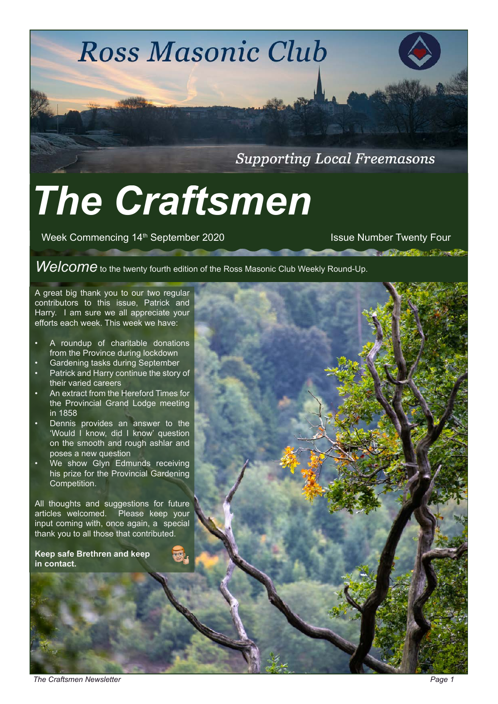**Ross Masonic Club** 

**Supporting Local Freemasons** 

# *The Craftsmen*

Week Commencing 14<sup>th</sup> September 2020 **ISSUE Number Twenty Four** Issue Number Twenty Four

**Contract Contract Services** 

*Welcome* to the twenty fourth edition of the Ross Masonic Club Weekly Round-Up.

A great big thank you to our two regular contributors to this issue, Patrick and Harry. I am sure we all appreciate your efforts each week. This week we have:

- A roundup of charitable donations from the Province during lockdown
- Gardening tasks during September
- Patrick and Harry continue the story of their varied careers
- An extract from the Hereford Times for the Provincial Grand Lodge meeting in 1858
- Dennis provides an answer to the 'Would I know, did I know' question on the smooth and rough ashlar and poses a new question
- We show Glyn Edmunds receiving his prize for the Provincial Gardening Competition.

All thoughts and suggestions for future articles welcomed. Please keep your input coming with, once again, a special thank you to all those that contributed.

**Keep safe Brethren and keep in contact.** 

*The Craftsmen Newsletter Page 1*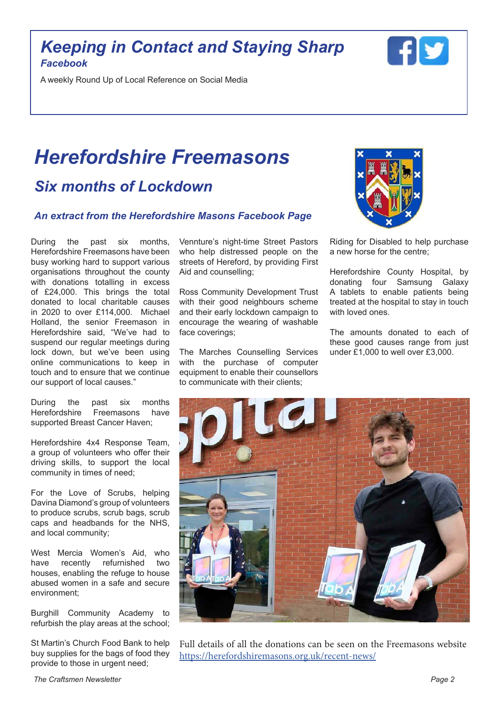### *Keeping in Contact and Staying Sharp Facebook*

A weekly Round Up of Local Reference on Social Media

# *Herefordshire Freemasons Six months of Lockdown*

#### *An extract from the Herefordshire Masons Facebook Page*

During the past six months, Herefordshire Freemasons have been busy working hard to support various organisations throughout the county with donations totalling in excess of £24,000. This brings the total donated to local charitable causes in 2020 to over £114,000. Michael Holland, the senior Freemason in Herefordshire said, "We've had to suspend our regular meetings during lock down, but we've been using online communications to keep in touch and to ensure that we continue our support of local causes."

During the past six months Herefordshire Freemasons have supported Breast Cancer Haven;

Herefordshire 4x4 Response Team, a group of volunteers who offer their driving skills, to support the local community in times of need;

For the Love of Scrubs, helping Davina Diamond's group of volunteers to produce scrubs, scrub bags, scrub caps and headbands for the NHS, and local community;

West Mercia Women's Aid, who have recently refurnished two houses, enabling the refuge to house abused women in a safe and secure environment;

Burghill Community Academy to refurbish the play areas at the school;

St Martin's Church Food Bank to help buy supplies for the bags of food they provide to those in urgent need;

Vennture's night-time Street Pastors who help distressed people on the streets of Hereford, by providing First Aid and counselling;

Ross Community Development Trust with their good neighbours scheme and their early lockdown campaign to encourage the wearing of washable face coverings;

The Marches Counselling Services with the purchase of computer equipment to enable their counsellors to communicate with their clients;



Riding for Disabled to help purchase a new horse for the centre;

Herefordshire County Hospital, by donating four Samsung Galaxy A tablets to enable patients being treated at the hospital to stay in touch with loved ones.

The amounts donated to each of these good causes range from just under £1,000 to well over £3,000.



Full details of all the donations can be seen on the Freemasons website <https://herefordshiremasons.org.uk/recent-news/>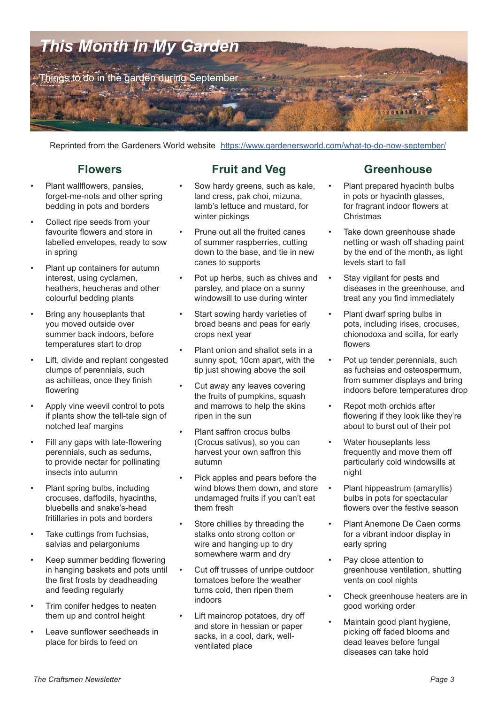

Reprinted from the Gardeners World website [https://www.gardenersworld.com/what-to-do-now-september/](https://www.gardenersworld.com/what-to-do-now-july/)

#### **Flowers**

- Plant wallflowers, pansies, forget-me-nots and other spring bedding in pots and borders
- Collect ripe seeds from your favourite flowers and store in labelled envelopes, ready to sow in spring
- Plant up containers for autumn interest, using cyclamen, heathers, heucheras and other colourful bedding plants
- Bring any houseplants that you moved outside over summer back indoors, before temperatures start to drop
- Lift, divide and replant congested clumps of perennials, such as achilleas, once they finish flowering
- Apply vine weevil control to pots if plants show the tell-tale sign of notched leaf margins
- Fill any gaps with late-flowering perennials, such as sedums, to provide nectar for pollinating insects into autumn
- Plant spring bulbs, including crocuses, daffodils, hyacinths, bluebells and snake's-head fritillaries in pots and borders
- Take cuttings from fuchsias, salvias and pelargoniums
- Keep summer bedding flowering in hanging baskets and pots until the first frosts by deadheading and feeding regularly
- Trim conifer hedges to neaten them up and control height
- Leave sunflower seedheads in place for birds to feed on

### **Fruit and Veg**

- Sow hardy greens, such as kale, land cress, pak choi, mizuna, lamb's lettuce and mustard, for winter pickings
- Prune out all the fruited canes of summer raspberries, cutting down to the base, and tie in new canes to supports
- Pot up herbs, such as chives and parsley, and place on a sunny windowsill to use during winter
- Start sowing hardy varieties of broad beans and peas for early crops next year
- Plant onion and shallot sets in a sunny spot, 10cm apart, with the tip just showing above the soil
- Cut away any leaves covering the fruits of pumpkins, squash and marrows to help the skins ripen in the sun
- Plant saffron crocus bulbs (Crocus sativus), so you can harvest your own saffron this autumn
- Pick apples and pears before the wind blows them down, and store undamaged fruits if you can't eat them fresh
- Store chillies by threading the stalks onto strong cotton or wire and hanging up to dry somewhere warm and dry
- Cut off trusses of unripe outdoor tomatoes before the weather turns cold, then ripen them indoors
- Lift maincrop potatoes, dry off and store in hessian or paper sacks, in a cool, dark, wellventilated place

### **Greenhouse**

- Plant prepared hyacinth bulbs in pots or hyacinth glasses, for fragrant indoor flowers at **Christmas**
- Take down greenhouse shade netting or wash off shading paint by the end of the month, as light levels start to fall
- Stay vigilant for pests and diseases in the greenhouse, and treat any you find immediately
- Plant dwarf spring bulbs in pots, including irises, crocuses, chionodoxa and scilla, for early flowers
- Pot up tender perennials, such as fuchsias and osteospermum, from summer displays and bring indoors before temperatures drop
- Repot moth orchids after flowering if they look like they're about to burst out of their pot
- Water houseplants less frequently and move them off particularly cold windowsills at night
- Plant hippeastrum (amaryllis) bulbs in pots for spectacular flowers over the festive season
- Plant Anemone De Caen corms for a vibrant indoor display in early spring
- Pay close attention to greenhouse ventilation, shutting vents on cool nights
- Check greenhouse heaters are in good working order
- Maintain good plant hygiene, picking off faded blooms and dead leaves before fungal diseases can take hold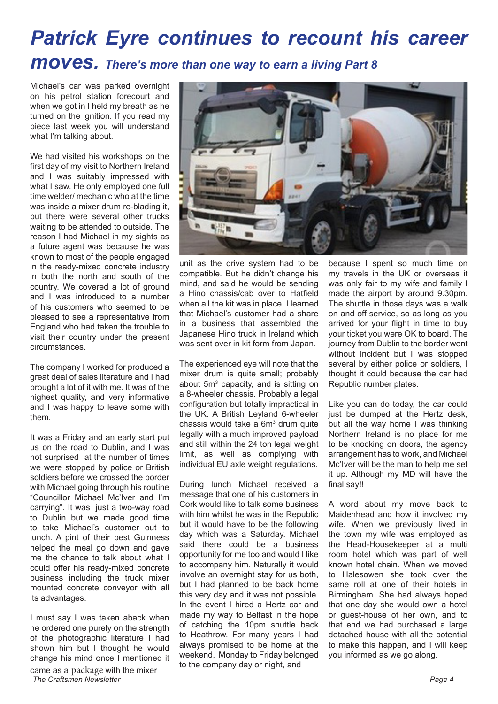# *Patrick Eyre continues to recount his career moves. There's more than one way to earn a living Part 8*

Michael's car was parked overnight on his petrol station forecourt and when we got in I held my breath as he turned on the ignition. If you read my piece last week you will understand what I'm talking about.

We had visited his workshops on the first day of my visit to Northern Ireland and I was suitably impressed with what I saw. He only employed one full time welder/ mechanic who at the time was inside a mixer drum re-blading it, but there were several other trucks waiting to be attended to outside. The reason I had Michael in my sights as a future agent was because he was known to most of the people engaged in the ready-mixed concrete industry in both the north and south of the country. We covered a lot of ground and I was introduced to a number of his customers who seemed to be pleased to see a representative from England who had taken the trouble to visit their country under the present circumstances.

The company I worked for produced a great deal of sales literature and I had brought a lot of it with me. It was of the highest quality, and very informative and I was happy to leave some with them.

It was a Friday and an early start put us on the road to Dublin, and I was not surprised at the number of times we were stopped by police or British soldiers before we crossed the border with Michael going through his routine "Councillor Michael Mc'Iver and I'm carrying". It was just a two-way road to Dublin but we made good time to take Michael's customer out to lunch. A pint of their best Guinness helped the meal go down and gave me the chance to talk about what I could offer his ready-mixed concrete business including the truck mixer mounted concrete conveyor with all its advantages.

I must say I was taken aback when he ordered one purely on the strength of the photographic literature I had shown him but I thought he would change his mind once I mentioned it

came as a package with the mixer **The Craftsmen Newsletter Page 4 Page 4 Page 4 Page 4 Page 4 Page 4 Page 4 Page 4 Page 4** 



unit as the drive system had to be compatible. But he didn't change his mind, and said he would be sending a Hino chassis/cab over to Hatfield when all the kit was in place. I learned that Michael's customer had a share in a business that assembled the Japanese Hino truck in Ireland which was sent over in kit form from Japan.

The experienced eye will note that the mixer drum is quite small; probably about 5m<sup>3</sup> capacity, and is sitting on a 8-wheeler chassis. Probably a legal configuration but totally impractical in the UK. A British Leyland 6-wheeler chassis would take a  $6m<sup>3</sup>$  drum quite legally with a much improved payload and still within the 24 ton legal weight limit, as well as complying with individual EU axle weight regulations.

During lunch Michael received a message that one of his customers in Cork would like to talk some business with him whilst he was in the Republic but it would have to be the following day which was a Saturday. Michael said there could be a business opportunity for me too and would I like to accompany him. Naturally it would involve an overnight stay for us both, but I had planned to be back home this very day and it was not possible. In the event I hired a Hertz car and made my way to Belfast in the hope of catching the 10pm shuttle back to Heathrow. For many years I had always promised to be home at the weekend, Monday to Friday belonged to the company day or night, and

because I spent so much time on my travels in the UK or overseas it was only fair to my wife and family I made the airport by around 9.30pm. The shuttle in those days was a walk on and off service, so as long as you arrived for your flight in time to buy your ticket you were OK to board. The journey from Dublin to the border went without incident but I was stopped several by either police or soldiers. I thought it could because the car had Republic number plates.

Like you can do today, the car could just be dumped at the Hertz desk, but all the way home I was thinking Northern Ireland is no place for me to be knocking on doors, the agency arrangement has to work, and Michael Mc'Iver will be the man to help me set it up. Although my MD will have the final say!!

A word about my move back to Maidenhead and how it involved my wife. When we previously lived in the town my wife was employed as the Head-Housekeeper at a multi room hotel which was part of well known hotel chain. When we moved to Halesowen she took over the same roll at one of their hotels in Birmingham. She had always hoped that one day she would own a hotel or guest-house of her own, and to that end we had purchased a large detached house with all the potential to make this happen, and I will keep you informed as we go along.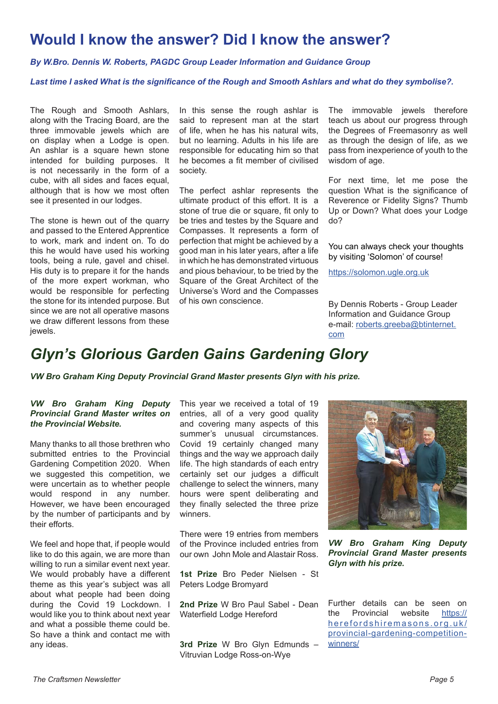### **Would I know the answer? Did I know the answer?**

*By W.Bro. Dennis W. Roberts, PAGDC Group Leader Information and Guidance Group*

*Last time I asked What is the significance of the Rough and Smooth Ashlars and what do they symbolise?.*

The Rough and Smooth Ashlars, along with the Tracing Board, are the three immovable jewels which are on display when a Lodge is open. An ashlar is a square hewn stone intended for building purposes. It is not necessarily in the form of a cube, with all sides and faces equal, although that is how we most often see it presented in our lodges.

The stone is hewn out of the quarry and passed to the Entered Apprentice to work, mark and indent on. To do this he would have used his working tools, being a rule, gavel and chisel. His duty is to prepare it for the hands of the more expert workman, who would be responsible for perfecting the stone for its intended purpose. But since we are not all operative masons we draw different lessons from these jewels.

In this sense the rough ashlar is said to represent man at the start of life, when he has his natural wits, but no learning. Adults in his life are responsible for educating him so that he becomes a fit member of civilised society.

The perfect ashlar represents the ultimate product of this effort. It is a stone of true die or square, fit only to be tries and testes by the Square and Compasses. It represents a form of perfection that might be achieved by a good man in his later years, after a life in which he has demonstrated virtuous and pious behaviour, to be tried by the Square of the Great Architect of the Universe's Word and the Compasses of his own conscience.

The immovable jewels therefore teach us about our progress through the Degrees of Freemasonry as well as through the design of life, as we pass from inexperience of youth to the wisdom of age.

For next time, let me pose the question What is the significance of Reverence or Fidelity Signs? Thumb Up or Down? What does your Lodge do?

You can always check your thoughts by visiting 'Solomon' of course!

<https://solomon.ugle.org.uk>

By Dennis Roberts - Group Leader Information and Guidance Group e-mail: [roberts.greeba@btinternet.](mailto:roberts.greeba%40btinternet.com%20?subject=Solomon) [com](mailto:roberts.greeba%40btinternet.com%20?subject=Solomon)

### *Glyn's Glorious Garden Gains Gardening Glory*

*VW Bro Graham King Deputy Provincial Grand Master presents Glyn with his prize.*

#### *VW Bro Graham King Deputy Provincial Grand Master writes on the Provincial Website.*

Many thanks to all those brethren who submitted entries to the Provincial Gardening Competition 2020. When we suggested this competition, we were uncertain as to whether people would respond in any number. However, we have been encouraged by the number of participants and by their efforts.

We feel and hope that, if people would like to do this again, we are more than willing to run a similar event next year. We would probably have a different theme as this year's subject was all about what people had been doing during the Covid 19 Lockdown. I would like you to think about next year and what a possible theme could be. So have a think and contact me with any ideas.

This year we received a total of 19 entries, all of a very good quality and covering many aspects of this summer's unusual circumstances. Covid 19 certainly changed many things and the way we approach daily life. The high standards of each entry certainly set our judges a difficult challenge to select the winners, many hours were spent deliberating and they finally selected the three prize winners.

There were 19 entries from members of the Province included entries from our own John Mole and Alastair Ross.

**1st Prize** Bro Peder Nielsen - St Peters Lodge Bromyard

**2nd Prize** W Bro Paul Sabel - Dean Waterfield Lodge Hereford

**3rd Prize** W Bro Glyn Edmunds – Vitruvian Lodge Ross-on-Wye



*VW Bro Graham King Deputy Provincial Grand Master presents Glyn with his prize.*

Further details can be seen on the Provincial website [https://](https://herefordshiremasons.org.uk/provincial-gardening-competition-winners/ ) [herefordshiremasons.org.uk/](https://herefordshiremasons.org.uk/provincial-gardening-competition-winners/ ) [provincial-gardening-competition](https://herefordshiremasons.org.uk/provincial-gardening-competition-winners/ )[winners/](https://herefordshiremasons.org.uk/provincial-gardening-competition-winners/ )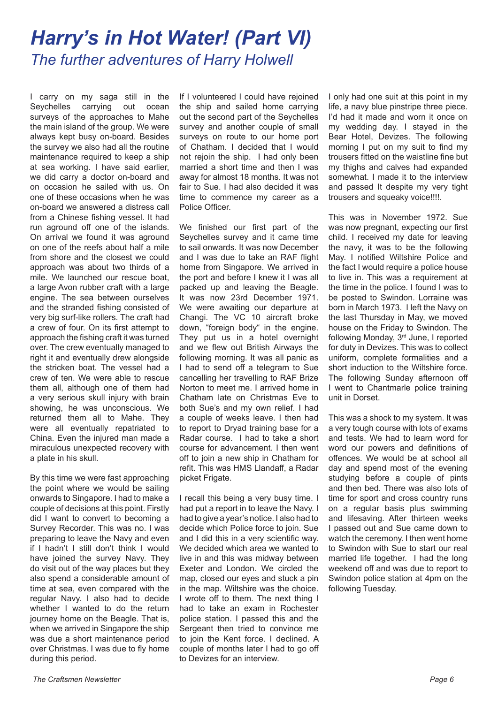## *Harry's in Hot Water! (Part VI) The further adventures of Harry Holwell*

I carry on my saga still in the<br>Sevchelles carrving out ocean carrying out ocean surveys of the approaches to Mahe the main island of the group. We were always kept busy on-board. Besides the survey we also had all the routine maintenance required to keep a ship at sea working. I have said earlier, we did carry a doctor on-board and on occasion he sailed with us. On one of these occasions when he was on-board we answered a distress call from a Chinese fishing vessel. It had run aground off one of the islands. On arrival we found it was aground on one of the reefs about half a mile from shore and the closest we could approach was about two thirds of a mile. We launched our rescue boat, a large Avon rubber craft with a large engine. The sea between ourselves and the stranded fishing consisted of very big surf-like rollers. The craft had a crew of four. On its first attempt to approach the fishing craft it was turned over. The crew eventually managed to right it and eventually drew alongside the stricken boat. The vessel had a crew of ten. We were able to rescue them all, although one of them had a very serious skull injury with brain showing, he was unconscious. We returned them all to Mahe. They were all eventually repatriated to China. Even the injured man made a miraculous unexpected recovery with a plate in his skull.

By this time we were fast approaching the point where we would be sailing onwards to Singapore. I had to make a couple of decisions at this point. Firstly did I want to convert to becoming a Survey Recorder. This was no. I was preparing to leave the Navy and even if l hadn't I still don't think I would have joined the survey Navy. They do visit out of the way places but they also spend a considerable amount of time at sea, even compared with the regular Navy. I also had to decide whether I wanted to do the return journey home on the Beagle. That is, when we arrived in Singapore the ship was due a short maintenance period over Christmas. I was due to fly home during this period.

If I volunteered I could have rejoined the ship and sailed home carrying out the second part of the Seychelles survey and another couple of small surveys on route to our home port of Chatham. I decided that I would not rejoin the ship. I had only been married a short time and then I was away for almost 18 months. It was not fair to Sue. I had also decided it was time to commence my career as a Police Officer.

We finished our first part of the Seychelles survey and it came time to sail onwards. It was now December and I was due to take an RAF flight home from Singapore. We arrived in the port and before I knew it I was all packed up and leaving the Beagle. It was now 23rd December 1971. We were awaiting our departure at Changi. The VC 10 aircraft broke down, "foreign body" in the engine. They put us in a hotel overnight and we flew out British Airways the following morning. It was all panic as I had to send off a telegram to Sue cancelling her travelling to RAF Brize Norton to meet me. I arrived home in Chatham late on Christmas Eve to both Sue's and my own relief. I had a couple of weeks leave. I then had to report to Dryad training base for a Radar course. I had to take a short course for advancement. I then went off to join a new ship in Chatham for refit. This was HMS Llandaff, a Radar picket Frigate.

I recall this being a very busy time. I had put a report in to leave the Navy. I had to give a year's notice. I also had to decide which Police force to join. Sue and I did this in a very scientific way. We decided which area we wanted to live in and this was midway between Exeter and London. We circled the map, closed our eyes and stuck a pin in the map. Wiltshire was the choice. I wrote off to them. The next thing I had to take an exam in Rochester police station. I passed this and the Sergeant then tried to convince me to join the Kent force. I declined. A couple of months later I had to go off to Devizes for an interview.

I only had one suit at this point in my life, a navy blue pinstripe three piece. I'd had it made and worn it once on my wedding day. I stayed in the Bear Hotel, Devizes. The following morning I put on my suit to find my trousers fitted on the waistline fine but my thighs and calves had expanded somewhat. I made it to the interview and passed It despite my very tight trousers and squeaky voice!!!!.

This was in November 1972. Sue was now pregnant, expecting our first child. I received my date for leaving the navy, it was to be the following May. I notified Wiltshire Police and the fact I would require a police house to live in. This was a requirement at the time in the police. I found I was to be posted to Swindon. Lorraine was born in March 1973. I left the Navy on the last Thursday in May, we moved house on the Friday to Swindon. The following Monday, 3rd June, I reported for duty in Devizes. This was to collect uniform, complete formalities and a short induction to the Wiltshire force. The following Sunday afternoon off I went to Chantmarle police training unit in Dorset.

This was a shock to my system. It was a very tough course with lots of exams and tests. We had to learn word for word our powers and definitions of offences. We would be at school all day and spend most of the evening studying before a couple of pints and then bed. There was also lots of time for sport and cross country runs on a regular basis plus swimming and lifesaving. After thirteen weeks I passed out and Sue came down to watch the ceremony. I then went home to Swindon with Sue to start our real married life together. I had the long weekend off and was due to report to Swindon police station at 4pm on the following Tuesday.